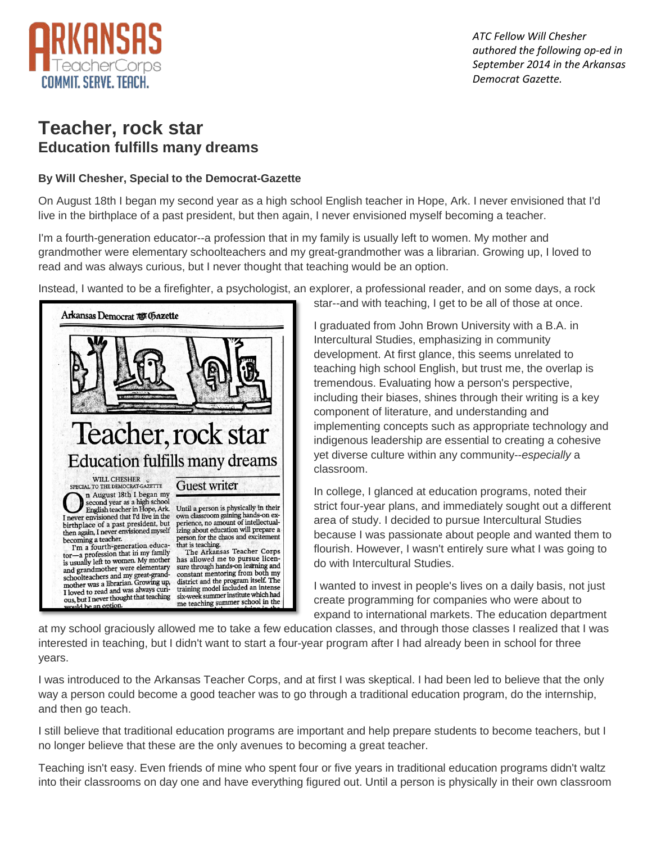

 *ATC Fellow Will Chesher authored the following op-ed in September 2014 in the Arkansas Democrat Gazette.*

## **Teacher, rock star Education fulfills many dreams**

## **By Will Chesher, Special to the Democrat-Gazette**

On August 18th I began my second year as a high school English teacher in Hope, Ark. I never envisioned that I'd live in the birthplace of a past president, but then again, I never envisioned myself becoming a teacher.

I'm a fourth-generation educator--a profession that in my family is usually left to women. My mother and grandmother were elementary schoolteachers and my great-grandmother was a librarian. Growing up, I loved to read and was always curious, but I never thought that teaching would be an option.

Instead, I wanted to be a firefighter, a psychologist, an explorer, a professional reader, and on some days, a rock



star--and with teaching, I get to be all of those at once.

I graduated from John Brown University with a B.A. in Intercultural Studies, emphasizing in community development. At first glance, this seems unrelated to teaching high school English, but trust me, the overlap is tremendous. Evaluating how a person's perspective, including their biases, shines through their writing is a key component of literature, and understanding and implementing concepts such as appropriate technology and indigenous leadership are essential to creating a cohesive yet diverse culture within any community--*especially* a classroom.

In college, I glanced at education programs, noted their strict four-year plans, and immediately sought out a different area of study. I decided to pursue Intercultural Studies because I was passionate about people and wanted them to flourish. However, I wasn't entirely sure what I was going to do with Intercultural Studies.

I wanted to invest in people's lives on a daily basis, not just create programming for companies who were about to expand to international markets. The education department

at my school graciously allowed me to take a few education classes, and through those classes I realized that I was interested in teaching, but I didn't want to start a four-year program after I had already been in school for three years.

I was introduced to the Arkansas Teacher Corps, and at first I was skeptical. I had been led to believe that the only way a person could become a good teacher was to go through a traditional education program, do the internship, and then go teach.

I still believe that traditional education programs are important and help prepare students to become teachers, but I no longer believe that these are the only avenues to becoming a great teacher.

Teaching isn't easy. Even friends of mine who spent four or five years in traditional education programs didn't waltz into their classrooms on day one and have everything figured out. Until a person is physically in their own classroom